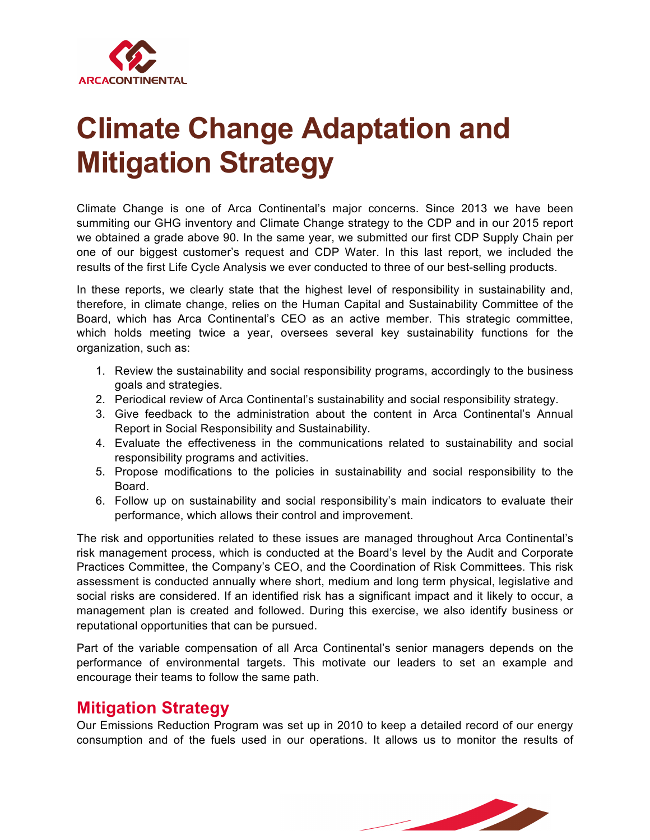

## **Climate Change Adaptation and Mitigation Strategy**

Climate Change is one of Arca Continental's major concerns. Since 2013 we have been summiting our GHG inventory and Climate Change strategy to the CDP and in our 2015 report we obtained a grade above 90. In the same year, we submitted our first CDP Supply Chain per one of our biggest customer's request and CDP Water. In this last report, we included the results of the first Life Cycle Analysis we ever conducted to three of our best-selling products.

In these reports, we clearly state that the highest level of responsibility in sustainability and, therefore, in climate change, relies on the Human Capital and Sustainability Committee of the Board, which has Arca Continental's CEO as an active member. This strategic committee, which holds meeting twice a year, oversees several key sustainability functions for the organization, such as:

- 1. Review the sustainability and social responsibility programs, accordingly to the business goals and strategies.
- 2. Periodical review of Arca Continental's sustainability and social responsibility strategy.
- 3. Give feedback to the administration about the content in Arca Continental's Annual Report in Social Responsibility and Sustainability.
- 4. Evaluate the effectiveness in the communications related to sustainability and social responsibility programs and activities.
- 5. Propose modifications to the policies in sustainability and social responsibility to the Board.
- 6. Follow up on sustainability and social responsibility's main indicators to evaluate their performance, which allows their control and improvement.

The risk and opportunities related to these issues are managed throughout Arca Continental's risk management process, which is conducted at the Board's level by the Audit and Corporate Practices Committee, the Company's CEO, and the Coordination of Risk Committees. This risk assessment is conducted annually where short, medium and long term physical, legislative and social risks are considered. If an identified risk has a significant impact and it likely to occur, a management plan is created and followed. During this exercise, we also identify business or reputational opportunities that can be pursued.

Part of the variable compensation of all Arca Continental's senior managers depends on the performance of environmental targets. This motivate our leaders to set an example and encourage their teams to follow the same path.

## **Mitigation Strategy**

Our Emissions Reduction Program was set up in 2010 to keep a detailed record of our energy consumption and of the fuels used in our operations. It allows us to monitor the results of

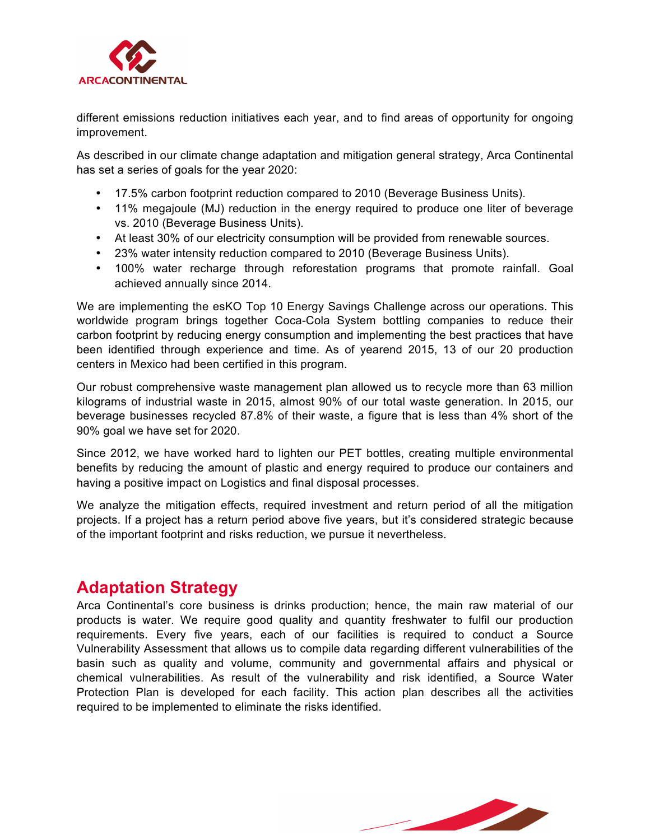

different emissions reduction initiatives each year, and to find areas of opportunity for ongoing improvement.

As described in our climate change adaptation and mitigation general strategy, Arca Continental has set a series of goals for the year 2020:

- 17.5% carbon footprint reduction compared to 2010 (Beverage Business Units).
- 11% megajoule (MJ) reduction in the energy required to produce one liter of beverage vs. 2010 (Beverage Business Units).
- At least 30% of our electricity consumption will be provided from renewable sources.
- 23% water intensity reduction compared to 2010 (Beverage Business Units).
- 100% water recharge through reforestation programs that promote rainfall. Goal achieved annually since 2014.

We are implementing the esKO Top 10 Energy Savings Challenge across our operations. This worldwide program brings together Coca-Cola System bottling companies to reduce their carbon footprint by reducing energy consumption and implementing the best practices that have been identified through experience and time. As of yearend 2015, 13 of our 20 production centers in Mexico had been certified in this program.

Our robust comprehensive waste management plan allowed us to recycle more than 63 million kilograms of industrial waste in 2015, almost 90% of our total waste generation. In 2015, our beverage businesses recycled 87.8% of their waste, a figure that is less than 4% short of the 90% goal we have set for 2020.

Since 2012, we have worked hard to lighten our PET bottles, creating multiple environmental benefits by reducing the amount of plastic and energy required to produce our containers and having a positive impact on Logistics and final disposal processes.

We analyze the mitigation effects, required investment and return period of all the mitigation projects. If a project has a return period above five years, but it's considered strategic because of the important footprint and risks reduction, we pursue it nevertheless.

## **Adaptation Strategy**

Arca Continental's core business is drinks production; hence, the main raw material of our products is water. We require good quality and quantity freshwater to fulfil our production requirements. Every five years, each of our facilities is required to conduct a Source Vulnerability Assessment that allows us to compile data regarding different vulnerabilities of the basin such as quality and volume, community and governmental affairs and physical or chemical vulnerabilities. As result of the vulnerability and risk identified, a Source Water Protection Plan is developed for each facility. This action plan describes all the activities required to be implemented to eliminate the risks identified.